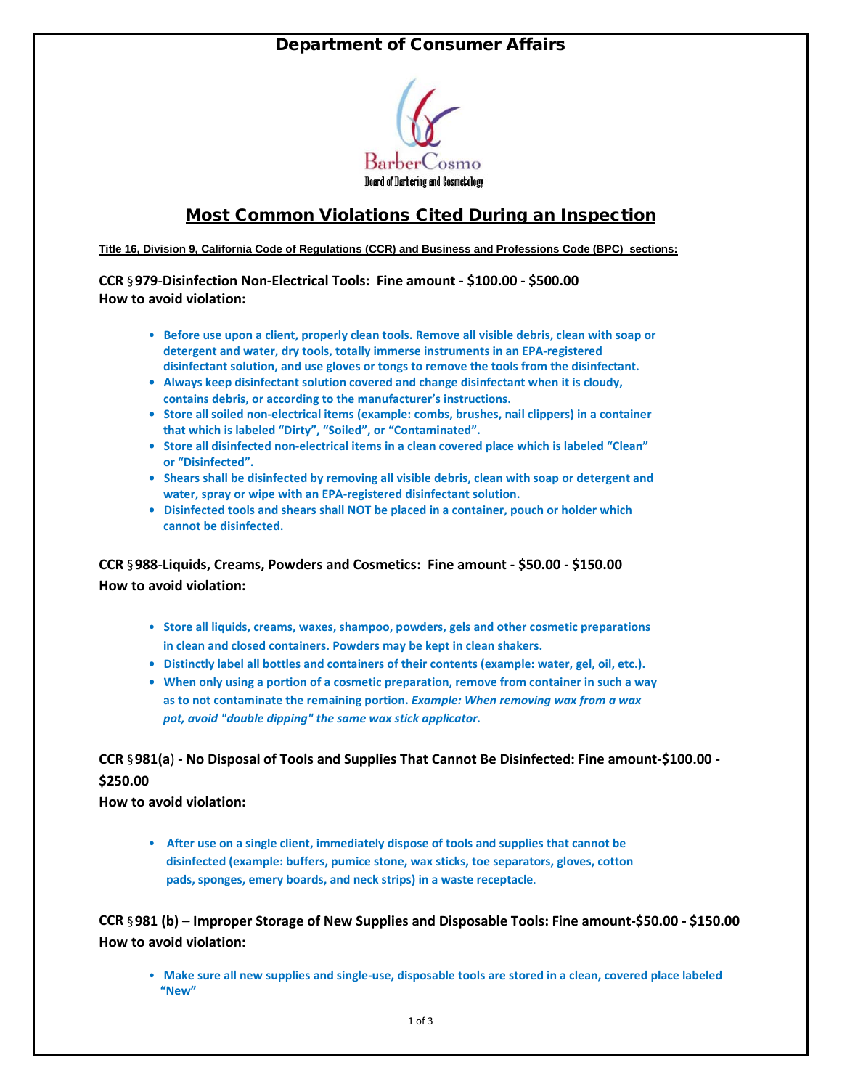## Department of Consumer Affairs



## Most Common Violations Cited During an Inspection

**Title 16, Division 9, California Code of Regulations (CCR) and Business and Professions Code (BPC) sections:** 

**CCR** §**979**-**Disinfection Non-Electrical Tools: Fine amount - \$100.00 - \$500.00 How to avoid violation:** 

- **Before use upon a client, properly clean tools. Remove all visible debris, clean with soap or detergent and water, dry tools, totally immerse instruments in an EPA-registered disinfectant solution, and use gloves or tongs to remove the tools from the disinfectant.**
- **Always keep disinfectant solution covered and change disinfectant when it is cloudy, contains debris, or according to the manufacturer's instructions.**
- **Store all soiled non-electrical items (example: combs, brushes, nail clippers) in a container that which is labeled "Dirty", "Soiled", or "Contaminated".**
- **Store all disinfected non-electrical items in a clean covered place which is labeled "Clean" or "Disinfected".**
- **Shears shall be disinfected by removing all visible debris, clean with soap or detergent and water, spray or wipe with an EPA-registered disinfectant solution.**
- **Disinfected tools and shears shall NOT be placed in a container, pouch or holder which cannot be disinfected.**

**CCR** §**988**-**Liquids, Creams, Powders and Cosmetics: Fine amount - \$50.00 - \$150.00 How to avoid violation:** 

- **Store all liquids, creams, waxes, shampoo, powders, gels and other cosmetic preparations in clean and closed containers. Powders may be kept in clean shakers.**
- **Distinctly label all bottles and containers of their contents (example: water, gel, oil, etc.).**
- **When only using a portion of a cosmetic preparation, remove from container in such a way as to not contaminate the remaining portion.** *Example: When removing wax from a wax*  *pot, avoid "double dipping" the same wax stick applicator.*

## **CCR** §**981(a**) **- No Disposal of Tools and Supplies That Cannot Be Disinfected: Fine amount-\$100.00 - \$250.00**

**How to avoid violation:** 

• **After use on a single client, immediately dispose of tools and supplies that cannot be disinfected (example: buffers, pumice stone, wax sticks, toe separators, gloves, cotton pads, sponges, emery boards, and neck strips) in a waste receptacle**.

**CCR** §**981 (b) – Improper Storage of New Supplies and Disposable Tools: Fine amount-\$50.00 - \$150.00 How to avoid violation:**

• **Make sure all new supplies and single-use, disposable tools are stored in a clean, covered place labeled "New"**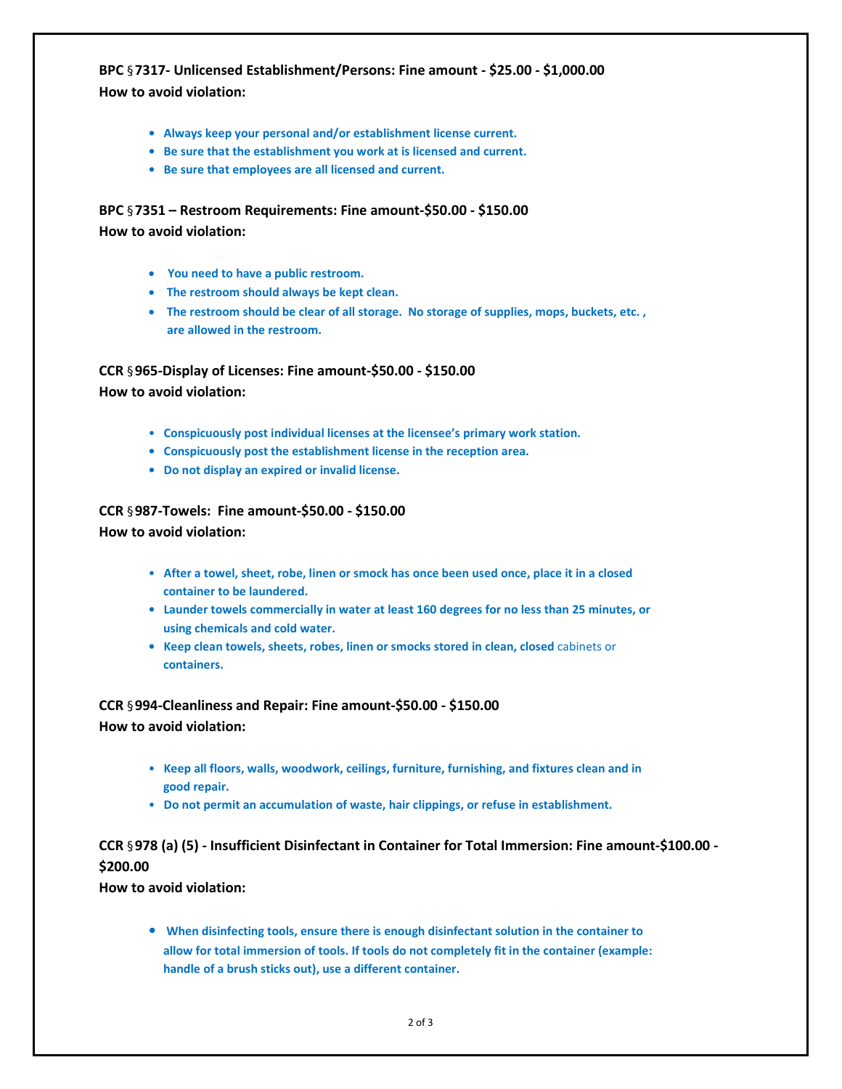**BPC** §**7317- Unlicensed Establishment/Persons: Fine amount - \$25.00 - \$1,000.00 How to avoid violation:** 

- **Always keep your personal and/or establishment license current.**
- **Be sure that the establishment you work at is licensed and current.**
- **Be sure that employees are all licensed and current.**

**BPC** §**7351 – Restroom Requirements: Fine amount-\$50.00 - \$150.00 How to avoid violation:**

- • **You need to have a public restroom.**
- • **The restroom should always be kept clean.**
- • **The restroom should be clear of all storage. No storage of supplies, mops, buckets, etc. , are allowed in the restroom.**

**CCR** §**965-Display of Licenses: Fine amount-\$50.00 - \$150.00**

**How to avoid violation:** 

- **Conspicuously post individual licenses at the licensee's primary work station.**
- **Conspicuously post the establishment license in the reception area.**
- **Do not display an expired or invalid license.**

**CCR** §**987-Towels: Fine amount-\$50.00 - \$150.00 How to avoid violation:** 

- **After a towel, sheet, robe, linen or smock has once been used once, place it in a closed container to be laundered.**
- **Launder towels commercially in water at least 160 degrees for no less than 25 minutes, or using chemicals and cold water.**
- **Keep clean towels, sheets, robes, linen or smocks stored in clean, closed** cabinets or **containers.**

**CCR** §**994-Cleanliness and Repair: Fine amount-\$50.00 - \$150.00 How to avoid violation:** 

- • **Keep all floors, walls, woodwork, ceilings, furniture, furnishing, and fixtures clean and in good repair.**
- **Do not permit an accumulation of waste, hair clippings, or refuse in establishment.**

## **CCR** §**978 (a) (5) - Insufficient Disinfectant in Container for Total Immersion: Fine amount-\$100.00 - \$200.00**

**How to avoid violation:** 

**• When disinfecting tools, ensure there is enough disinfectant solution in the container to allow for total immersion of tools. If tools do not completely fit in the container (example: handle of a brush sticks out), use a different container.**